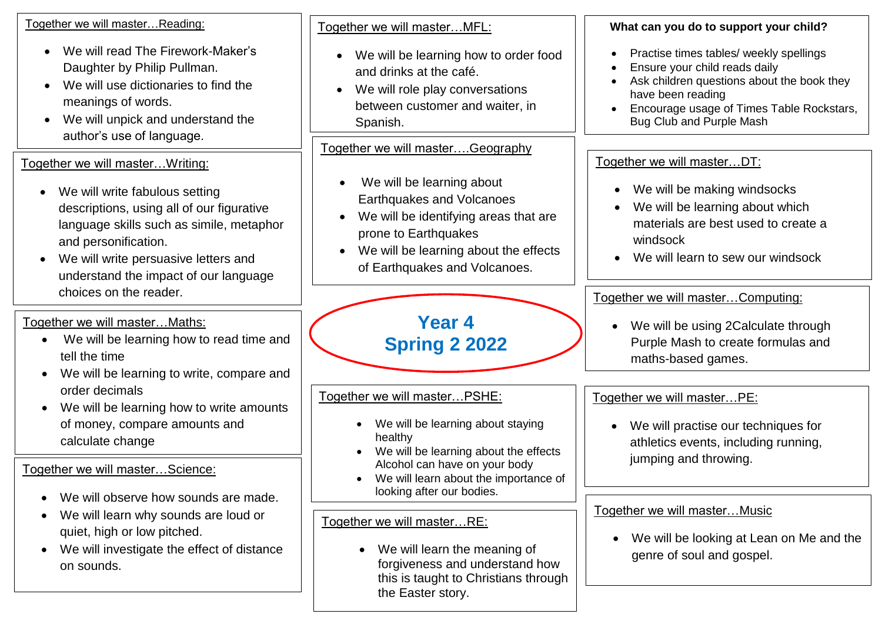Together we will master…Reading:

- We will read The Firework-Maker's Daughter by Philip Pullman.
- We will use dictionaries to find the meanings of words.
- We will unpick and understand the author's use of language.

Together we will master…Writing:

- We will write fabulous setting descriptions, using all of our figurative language skills such as simile, metaphor and personification.
- We will write persuasive letters and understand the impact of our language choices on the reader.

Together we will master…Maths:

- We will be learning how to read time and tell the time
- We will be learning to write, compare and order decimals
- We will be learning how to write amounts of money, compare amounts and calculate change

Together we will master…Science:

- We will observe how sounds are made.
- We will learn why sounds are loud or quiet, high or low pitched.
- We will investigate the effect of distance on sounds.

Together we will master…MFL:

- We will be learning how to order food and drinks at the café.
- We will role play conversations between customer and waiter, in Spanish.

Together we will master....Geography

- We will be learning about Earthquakes and Volcanoes
- We will be identifying areas that are prone to Earthquakes
- We will be learning about the effects of Earthquakes and Volcanoes.

## **Year 4 Spring 2 2022**

Together we will master…PSHE:

- We will be learning about staying healthy
- We will be learning about the effects Alcohol can have on your body
- We will learn about the importance of looking after our bodies.

Together we will master…RE:

• We will learn the meaning of forgiveness and understand how this is taught to Christians through the Easter story.

**What can you do to support your child?**

- Practise times tables/ weekly spellings
- Ensure your child reads daily
- Ask children questions about the book they have been reading
- Encourage usage of Times Table Rockstars, Bug Club and Purple Mash

## Together we will master...DT:

- We will be making windsocks
- We will be learning about which materials are best used to create a windsock
- We will learn to sew our windsock

Together we will master…Computing:

• We will be using 2Calculate through Purple Mash to create formulas and maths-based games.

Together we will master…PE:

• We will practise our techniques for athletics events, including running, jumping and throwing.

## Together we will master…Music

• We will be looking at Lean on Me and the genre of soul and gospel.